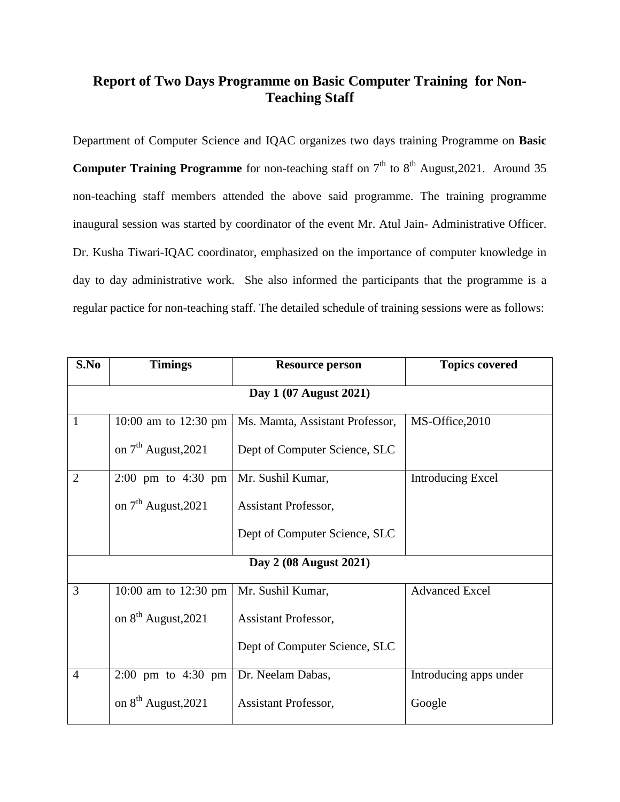## **Report of Two Days Programme on Basic Computer Training for Non-Teaching Staff**

Department of Computer Science and IQAC organizes two days training Programme on **Basic Computer Training Programme** for non-teaching staff on  $7<sup>th</sup>$  to  $8<sup>th</sup>$  August, 2021. Around 35 non-teaching staff members attended the above said programme. The training programme inaugural session was started by coordinator of the event Mr. Atul Jain- Administrative Officer. Dr. Kusha Tiwari-IQAC coordinator, emphasized on the importance of computer knowledge in day to day administrative work. She also informed the participants that the programme is a regular pactice for non-teaching staff. The detailed schedule of training sessions were as follows:

| S.No                   | <b>Timings</b>                         | <b>Resource person</b>          | <b>Topics covered</b>    |  |  |
|------------------------|----------------------------------------|---------------------------------|--------------------------|--|--|
| Day 1 (07 August 2021) |                                        |                                 |                          |  |  |
| 1                      | 10:00 am to 12:30 pm                   | Ms. Mamta, Assistant Professor, | MS-Office, 2010          |  |  |
|                        | on $7th$ August, 2021                  | Dept of Computer Science, SLC   |                          |  |  |
| $\overline{2}$         | $2:00 \text{ pm}$ to $4:30 \text{ pm}$ | Mr. Sushil Kumar,               | <b>Introducing Excel</b> |  |  |
|                        | on $7th$ August, 2021                  | Assistant Professor,            |                          |  |  |
|                        |                                        | Dept of Computer Science, SLC   |                          |  |  |
| Day 2 (08 August 2021) |                                        |                                 |                          |  |  |
| 3                      | 10:00 am to $12:30 \text{ pm}$         | Mr. Sushil Kumar,               | <b>Advanced Excel</b>    |  |  |
|                        | on 8 <sup>th</sup> August, 2021        | <b>Assistant Professor,</b>     |                          |  |  |
|                        |                                        | Dept of Computer Science, SLC   |                          |  |  |
| $\overline{4}$         | $2:00 \text{ pm}$ to $4:30 \text{ pm}$ | Dr. Neelam Dabas,               | Introducing apps under   |  |  |
|                        | on 8 <sup>th</sup> August, 2021        | <b>Assistant Professor,</b>     | Google                   |  |  |